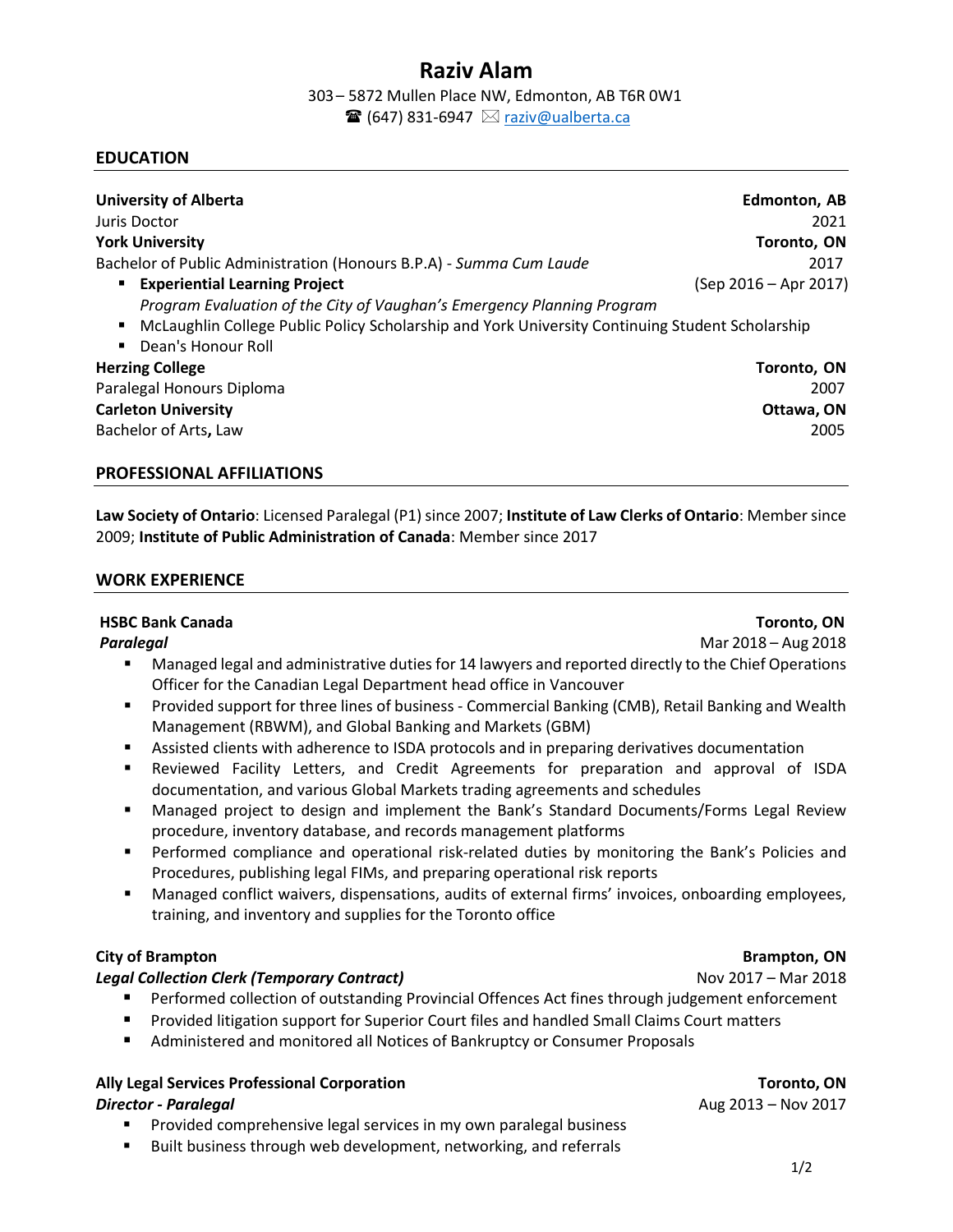# **Raziv Alam**

303– 5872 Mullen Place NW, Edmonton, AB T6R 0W1  $\mathbf{\mathcal{F}}$  (647) 831-6947  $\boxtimes$  raziv@ualberta.ca

### **EDUCATION**

| <b>University of Alberta</b>                                                                                                                                                                              | Edmonton, AB          |
|-----------------------------------------------------------------------------------------------------------------------------------------------------------------------------------------------------------|-----------------------|
| Juris Doctor                                                                                                                                                                                              | 2021                  |
| <b>York University</b>                                                                                                                                                                                    | Toronto, ON           |
| Bachelor of Public Administration (Honours B.P.A) - Summa Cum Laude                                                                                                                                       | 2017                  |
| <b>Experiential Learning Project</b><br>٠                                                                                                                                                                 | (Sep 2016 – Apr 2017) |
| Program Evaluation of the City of Vaughan's Emergency Planning Program<br>McLaughlin College Public Policy Scholarship and York University Continuing Student Scholarship<br>٠<br>Dean's Honour Roll<br>٠ |                       |
| <b>Herzing College</b>                                                                                                                                                                                    | Toronto, ON           |
| Paralegal Honours Diploma                                                                                                                                                                                 | 2007                  |
| <b>Carleton University</b>                                                                                                                                                                                | Ottawa, ON            |
| Bachelor of Arts, Law                                                                                                                                                                                     | 2005                  |

### **PROFESSIONAL AFFILIATIONS**

**Law Society of Ontario**: Licensed Paralegal (P1) since 2007; **Institute of Law Clerks of Ontario**: Member since 2009; **Institute of Public Administration of Canada**: Member since 2017

### **WORK EXPERIENCE**

### **HSBC Bank Canada Toronto, ON**

**Paralegal** Mar 2018 – Aug 2018

- Managed legal and administrative duties for 14 lawyers and reported directly to the Chief Operations Officer for the Canadian Legal Department head office in Vancouver
- Provided support for three lines of business Commercial Banking (CMB), Retail Banking and Wealth Management (RBWM), and Global Banking and Markets (GBM)
- Assisted clients with adherence to ISDA protocols and in preparing derivatives documentation
- Reviewed Facility Letters, and Credit Agreements for preparation and approval of ISDA documentation, and various Global Markets trading agreements and schedules
- Managed project to design and implement the Bank's Standard Documents/Forms Legal Review procedure, inventory database, and records management platforms
- **•** Performed compliance and operational risk-related duties by monitoring the Bank's Policies and Procedures, publishing legal FIMs, and preparing operational risk reports
- Managed conflict waivers, dispensations, audits of external firms' invoices, onboarding employees, training, and inventory and supplies for the Toronto office

# **City of Brampton Brampton** Brampton, ON

# *Legal Collection Clerk (Temporary Contract)*Nov 2017 – Mar 2018

- Performed collection of outstanding Provincial Offences Act fines through judgement enforcement
- Provided litigation support for Superior Court files and handled Small Claims Court matters
- Administered and monitored all Notices of Bankruptcy or Consumer Proposals

### **Ally Legal Services Professional Corporation Toronto, ON**  *Director - Paralegal* Aug 2013 – Nov 2017

- Provided comprehensive legal services in my own paralegal business
- Built business through web development, networking, and referrals